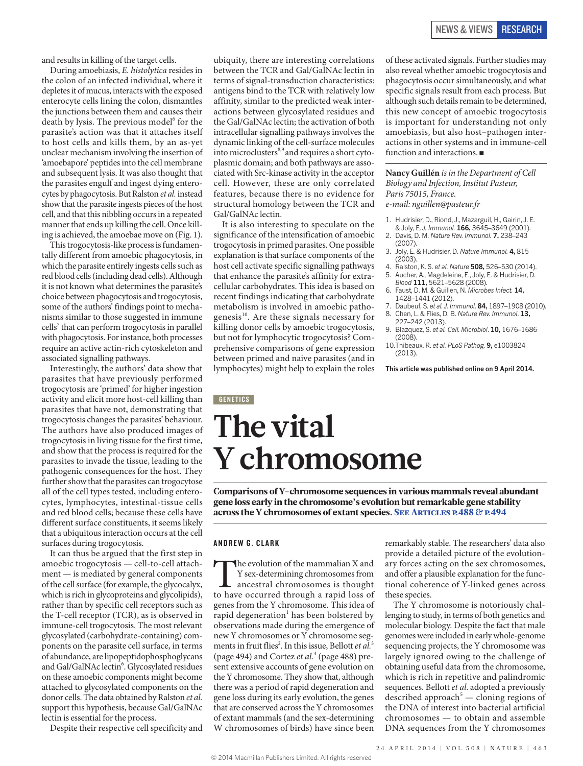and results in killing of the target cells.

During amoebiasis, *E. histolytica* resides in the colon of an infected individual, where it depletes it of mucus, interacts with the exposed enterocyte cells lining the colon, dismantles the junctions between them and causes their death by lysis. The previous model<sup>6</sup> for the parasite's action was that it attaches itself to host cells and kills them, by an as-yet unclear mechanism involving the insertion of 'amoebapore' peptides into the cell membrane and subsequent lysis. It was also thought that the parasites engulf and ingest dying enterocytes by phagocytosis. But Ralston *et al.* instead show that the parasite ingests pieces of the host cell, and that this nibbling occurs in a repeated manner that ends up killing the cell. Once killing is achieved, the amoebae move on (Fig. 1).

This trogocytosis-like process is fundamentally different from amoebic phagocytosis, in which the parasite entirely ingests cells such as red blood cells (including dead cells). Although it is not known what determines the parasite's choice between phagocytosis and trogocytosis, some of the authors' findings point to mechanisms similar to those suggested in immune cells<sup>7</sup> that can perform trogocytosis in parallel with phagocytosis. For instance, both processes require an active actin-rich cytoskeleton and associated signalling pathways.

Interestingly, the authors' data show that parasites that have previously performed trogocytosis are 'primed' for higher ingestion activity and elicit more host-cell killing than parasites that have not, demonstrating that trogocytosis changes the parasites' behaviour. The authors have also produced images of trogocytosis in living tissue for the first time, and show that the process is required for the parasites to invade the tissue, leading to the pathogenic consequences for the host. They further show that the parasites can trogocytose all of the cell types tested, including enterocytes, lymphocytes, intestinal-tissue cells and red blood cells; because these cells have different surface constituents, it seems likely that a ubiquitous interaction occurs at the cell surfaces during trogocytosis.

It can thus be argued that the first step in amoebic trogocytosis — cell-to-cell attachment — is mediated by general components of the cell surface (for example, the glycocalyx, which is rich in glycoproteins and glycolipids), rather than by specific cell receptors such as the T-cell receptor (TCR), as is observed in immune-cell trogocytosis. The most relevant glycosylated (carbohydrate-containing) components on the parasite cell surface, in terms of abundance, are lipopeptidophosphoglycans and Gal/GalNAc lectin<sup>6</sup>. Glycosylated residues on these amoebic components might become attached to glycosylated components on the donor cells. The data obtained by Ralston *et al.* support this hypothesis, because Gal/GalNAc lectin is essential for the process.

Despite their respective cell specificity and

ubiquity, there are interesting correlations between the TCR and Gal/GalNAc lectin in terms of signal-transduction characteristics: antigens bind to the TCR with relatively low affinity, similar to the predicted weak interactions between glycosylated residues and the Gal/GalNAc lectin; the activation of both intracellular signalling pathways involves the dynamic linking of the cell-surface molecules into microclusters<sup>8,9</sup> and requires a short cytoplasmic domain; and both pathways are associated with Src-kinase activity in the acceptor cell. However, these are only correlated features, because there is no evidence for structural homology between the TCR and Gal/GalNAc lectin.

It is also interesting to speculate on the significance of the intensification of amoebic trogocytosis in primed parasites. One possible explanation is that surface components of the host cell activate specific signalling pathways that enhance the parasite's affinity for extracellular carbohydrates. This idea is based on recent findings indicating that carbohydrate metabolism is involved in amoebic pathogenesis<sup>10</sup>. Are these signals necessary for killing donor cells by amoebic trogocytosis, but not for lymphocytic trogocytosis? Comprehensive comparisons of gene expression between primed and naive parasites (and in lymphocytes) might help to explain the roles

of these activated signals. Further studies may also reveal whether amoebic trogocytosis and phagocytosis occur simultaneously, and what specific signals result from each process. But although such details remain to be determined, this new concept of amoebic trogocytosis is important for understanding not only amoebiasis, but also host–pathogen interactions in other systems and in immune-cell function and interactions. ■

**Nancy Guillén** *is in the Department of Cell Biology and Infection, Institut Pasteur, Paris 75015, France.*

*e-mail: nguillen@pasteur.fr*

- 1. Hudrisier, D., Riond, J., Mazarguil, H., Gairin, J. E. & Joly, E. *J. Immunol.* **166,** 3645–3649 (2001).
- 2. Davis, D. M. *Nature Rev. Immunol.* **7,** 238–243  $(2007)$
- 3. Joly, E. & Hudrisier, D. *Nature Immunol.* **4,** 815 (2003).
- 4. Ralston, K. S. *et al. Nature* **508,** 526–530 (2014). 5. Aucher, A., Magdeleine, E., Joly, E. & Hudrisier, D. *Blood* **111,** 5621–5628 (2008).
- 6. Faust, D. M. & Guillen, N. *Microbes Infect.* **14,** 1428–1441 (2012).
- 7. Daubeuf, S. *et al. J. Immunol*. **84,** 1897–1908 (2010). 8. Chen, L. & Flies, D. B. *Nature Rev. Immunol*. **13,**
- 227–242 (2013). 9. Blazquez, S. *et al. Cell. Microbiol*. **10,** 1676–1686
- (2008).
- 10.Thibeaux, R. *et al. PLoS Pathog.* **9,** e1003824 (2013).

**This article was published online on 9 April 2014.**

# **GENETICS The vital Y chromosome**

Comparisons of Y-chromosome sequences in various mammals reveal abundant gene loss early in the chromosome's evolution but remarkable gene stability across the Y chromosomes of extant species. See Articles p.488 & p.494

#### ANDREW G. CLARK

The evolution of the mammalian X and Y sex-determining chromosomes from ancestral chromosomes is thought to have occurred through a rapid loss of Y sex-determining chromosomes from ancestral chromosomes is thought genes from the Y chromosome. This idea of rapid degeneration<sup>1</sup> has been bolstered by observations made during the emergence of new Y chromosomes or Y chromosome segments in fruit flies<sup>2</sup>. In this issue, Bellott *et al.*<sup>3</sup> (page 494) and Cortez *et al.*<sup>4</sup> (page 488) present extensive accounts of gene evolution on the Y chromosome. They show that, although there was a period of rapid degeneration and gene loss during its early evolution, the genes that are conserved across the Y chromosomes of extant mammals (and the sex-determining W chromosomes of birds) have since been remarkably stable. The researchers' data also provide a detailed picture of the evolutionary forces acting on the sex chromosomes, and offer a plausible explanation for the functional coherence of Y-linked genes across these species.

The Y chromosome is notoriously challenging to study, in terms of both genetics and molecular biology. Despite the fact that male genomes were included in early whole-genome sequencing projects, the Y chromosome was largely ignored owing to the challenge of obtaining useful data from the chromosome, which is rich in repetitive and palindromic sequences. Bellott *et al*. adopted a previously described approach<sup>5</sup> — cloning regions of the DNA of interest into bacterial artificial chromosomes — to obtain and assemble DNA sequences from the Y chromosomes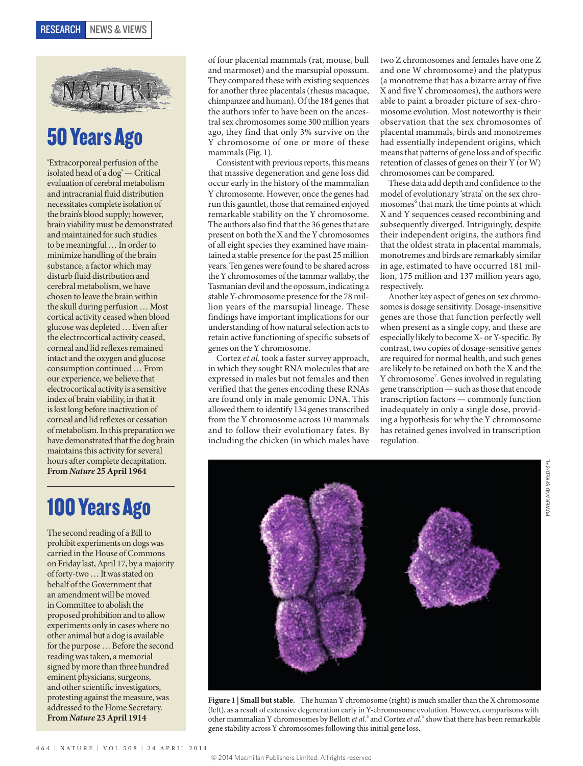

## 50 Years Ago

'Extracorporeal perfusion of the isolated head of a dog' — Critical evaluation of cerebral metabolism and intracranial fluid distribution necessitates complete isolation of the brain's blood supply; however, brain viability must be demonstrated and maintained for such studies to be meaningful … In order to minimize handling of the brain substance, a factor which may disturb fluid distribution and cerebral metabolism, we have chosen to leave the brain within the skull during perfusion … Most cortical activity ceased when blood glucose was depleted … Even after the electrocortical activity ceased, corneal and lid reflexes remained intact and the oxygen and glucose consumption continued … From our experience, we believe that electrocortical activity is a sensitive index of brain viability, in that it is lost long before inactivation of corneal and lid reflexes or cessation of metabolism. In this preparation we have demonstrated that the dog brain maintains this activity for several hours after complete decapitation. **From** *Nature* **25 April 1964**

### 100 Years Ago

The second reading of a Bill to prohibit experiments on dogs was carried in the House of Commons on Friday last, April 17, by a majority of forty-two … It was stated on behalf of the Government that an amendment will be moved in Committee to abolish the proposed prohibition and to allow experiments only in cases where no other animal but a dog is available for the purpose … Before the second reading was taken, a memorial signed by more than three hundred eminent physicians, surgeons, and other scientific investigators, protesting against the measure, was addressed to the Home Secretary. **From** *Nature* **23 April 1914**

of four placental mammals (rat, mouse, bull and marmoset) and the marsupial opossum. They compared these with existing sequences for another three placentals (rhesus macaque, chimpanzee and human). Of the 184 genes that the authors infer to have been on the ancestral sex chromosomes some 300 million years ago, they find that only 3% survive on the Y chromosome of one or more of these mammals (Fig. 1).

Consistent with previous reports, this means that massive degeneration and gene loss did occur early in the history of the mammalian Y chromosome. However, once the genes had run this gauntlet, those that remained enjoyed remarkable stability on the Y chromosome. The authors also find that the 36 genes that are present on both the X and the Y chromosomes of all eight species they examined have maintained a stable presence for the past 25 million years. Ten genes were found to be shared across the Y chromosomes of the tammar wallaby, the Tasmanian devil and the opossum, indicating a stable Y-chromosome presence for the 78 million years of the marsupial lineage. These findings have important implications for our understanding of how natural selection acts to retain active functioning of specific subsets of genes on the Y chromosome.

Cortez *et al*. took a faster survey approach, in which they sought RNA molecules that are expressed in males but not females and then verified that the genes encoding these RNAs are found only in male genomic DNA. This allowed them to identify 134 genes transcribed from the Y chromosome across 10 mammals and to follow their evolutionary fates. By including the chicken (in which males have two Z chromosomes and females have one Z and one W chromosome) and the platypus (a monotreme that has a bizarre array of five X and five Y chromosomes), the authors were able to paint a broader picture of sex-chromosome evolution. Most noteworthy is their observation that the sex chromosomes of placental mammals, birds and monotremes had essentially independent origins, which means that patterns of gene loss and of specific retention of classes of genes on their Y (or W) chromosomes can be compared.

These data add depth and confidence to the model of evolutionary 'strata' on the sex chromosomes<sup>6</sup> that mark the time points at which X and Y sequences ceased recombining and subsequently diverged. Intriguingly, despite their independent origins, the authors find that the oldest strata in placental mammals, monotremes and birds are remarkably similar in age, estimated to have occurred 181 million, 175 million and 137 million years ago, respectively.

Another key aspect of genes on sex chromosomes is dosage sensitivity. Dosage-insensitive genes are those that function perfectly well when present as a single copy, and these are especially likely to become X- or Y-specific. By contrast, two copies of dosage-sensitive genes are required for normal health, and such genes are likely to be retained on both the X and the Y chromosome<sup>7</sup>. Genes involved in regulating gene transcription — such as those that encode transcription factors — commonly function inadequately in only a single dose, providing a hypothesis for why the Y chromosome has retained genes involved in transcription regulation.



Figure 1 | Small but stable. The human Y chromosome (right) is much smaller than the X chromosome (left), as a result of extensive degeneration early in Y-chromosome evolution. However, comparisons with other mammalian Y chromosomes by Bellott *et al.*<sup>3</sup> and Cortez *et al.*<sup>4</sup> show that there has been remarkable gene stability across Y chromosomes following this initial gene loss.